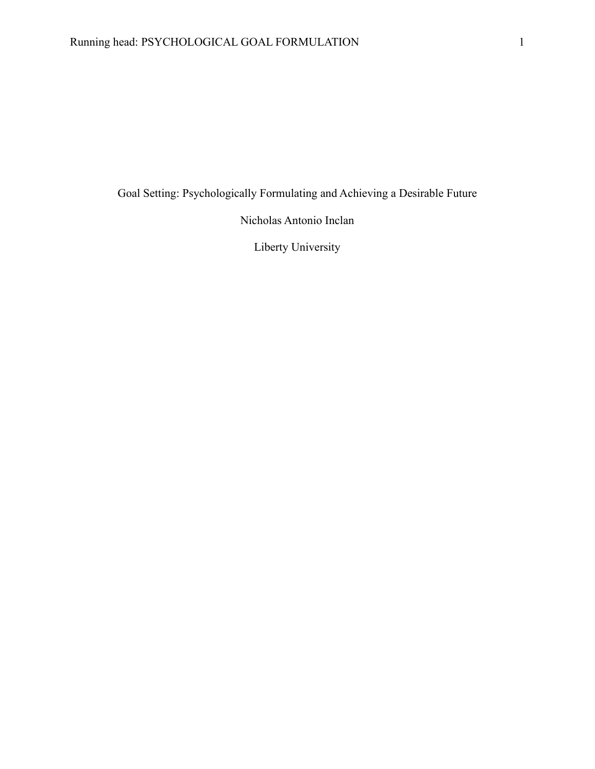Goal Setting: Psychologically Formulating and Achieving a Desirable Future

Nicholas Antonio Inclan

Liberty University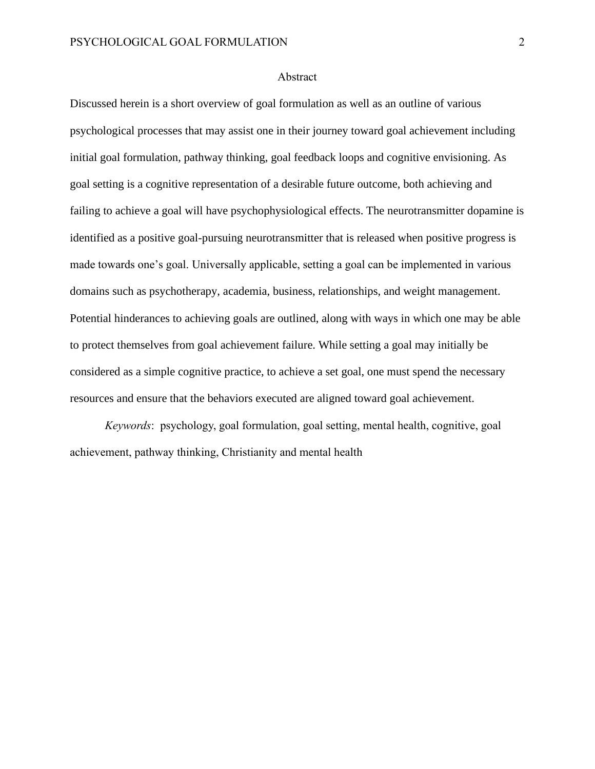#### Abstract

Discussed herein is a short overview of goal formulation as well as an outline of various psychological processes that may assist one in their journey toward goal achievement including initial goal formulation, pathway thinking, goal feedback loops and cognitive envisioning. As goal setting is a cognitive representation of a desirable future outcome, both achieving and failing to achieve a goal will have psychophysiological effects. The neurotransmitter dopamine is identified as a positive goal-pursuing neurotransmitter that is released when positive progress is made towards one's goal. Universally applicable, setting a goal can be implemented in various domains such as psychotherapy, academia, business, relationships, and weight management. Potential hinderances to achieving goals are outlined, along with ways in which one may be able to protect themselves from goal achievement failure. While setting a goal may initially be considered as a simple cognitive practice, to achieve a set goal, one must spend the necessary resources and ensure that the behaviors executed are aligned toward goal achievement.

*Keywords*: psychology, goal formulation, goal setting, mental health, cognitive, goal achievement, pathway thinking, Christianity and mental health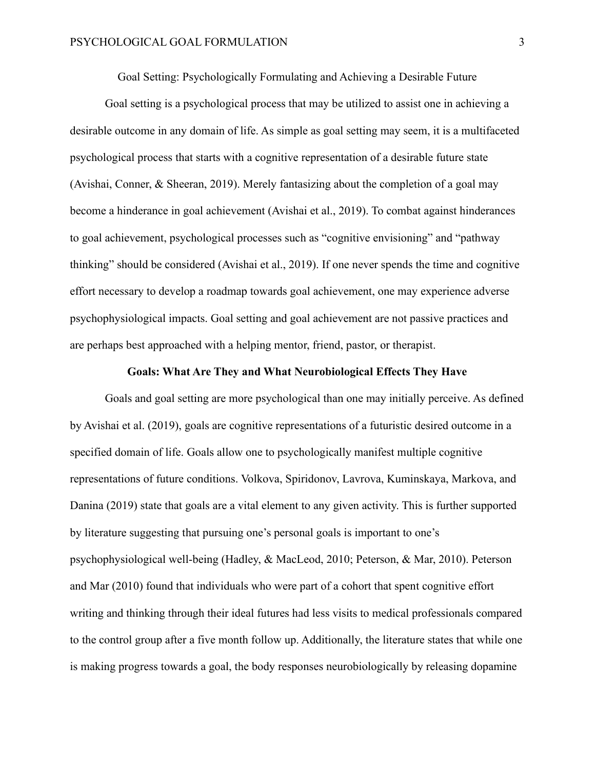Goal Setting: Psychologically Formulating and Achieving a Desirable Future

Goal setting is a psychological process that may be utilized to assist one in achieving a desirable outcome in any domain of life. As simple as goal setting may seem, it is a multifaceted psychological process that starts with a cognitive representation of a desirable future state (Avishai, Conner, & Sheeran, 2019). Merely fantasizing about the completion of a goal may become a hinderance in goal achievement (Avishai et al., 2019). To combat against hinderances to goal achievement, psychological processes such as "cognitive envisioning" and "pathway thinking" should be considered (Avishai et al., 2019). If one never spends the time and cognitive effort necessary to develop a roadmap towards goal achievement, one may experience adverse psychophysiological impacts. Goal setting and goal achievement are not passive practices and are perhaps best approached with a helping mentor, friend, pastor, or therapist.

# **Goals: What Are They and What Neurobiological Effects They Have**

Goals and goal setting are more psychological than one may initially perceive. As defined by Avishai et al. (2019), goals are cognitive representations of a futuristic desired outcome in a specified domain of life. Goals allow one to psychologically manifest multiple cognitive representations of future conditions. Volkova, Spiridonov, Lavrova, Kuminskaya, Markova, and Danina (2019) state that goals are a vital element to any given activity. This is further supported by literature suggesting that pursuing one's personal goals is important to one's psychophysiological well-being (Hadley, & MacLeod, 2010; Peterson, & Mar, 2010). Peterson and Mar (2010) found that individuals who were part of a cohort that spent cognitive effort writing and thinking through their ideal futures had less visits to medical professionals compared to the control group after a five month follow up. Additionally, the literature states that while one is making progress towards a goal, the body responses neurobiologically by releasing dopamine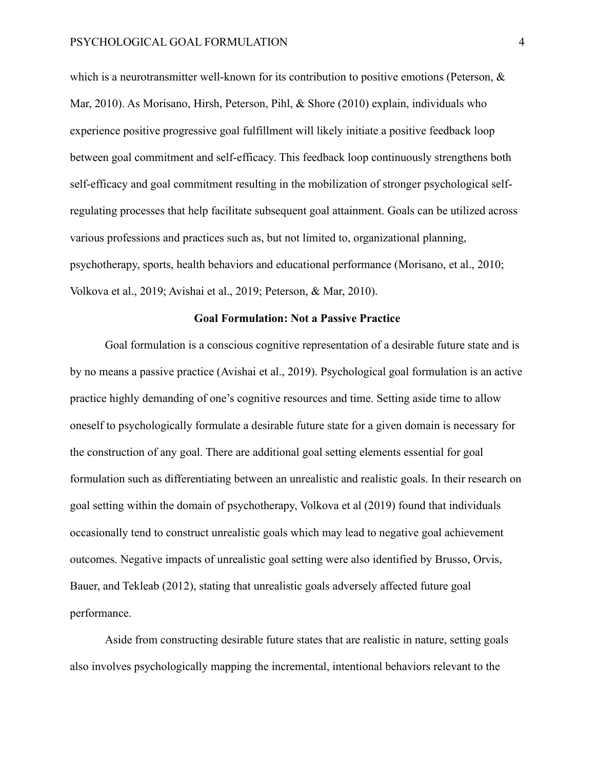which is a neurotransmitter well-known for its contribution to positive emotions (Peterson,  $\&$ Mar, 2010). As Morisano, Hirsh, Peterson, Pihl, & Shore (2010) explain, individuals who experience positive progressive goal fulfillment will likely initiate a positive feedback loop between goal commitment and self-efficacy. This feedback loop continuously strengthens both self-efficacy and goal commitment resulting in the mobilization of stronger psychological selfregulating processes that help facilitate subsequent goal attainment. Goals can be utilized across various professions and practices such as, but not limited to, organizational planning, psychotherapy, sports, health behaviors and educational performance (Morisano, et al., 2010; Volkova et al., 2019; Avishai et al., 2019; Peterson, & Mar, 2010).

# **Goal Formulation: Not a Passive Practice**

Goal formulation is a conscious cognitive representation of a desirable future state and is by no means a passive practice (Avishai et al., 2019). Psychological goal formulation is an active practice highly demanding of one's cognitive resources and time. Setting aside time to allow oneself to psychologically formulate a desirable future state for a given domain is necessary for the construction of any goal. There are additional goal setting elements essential for goal formulation such as differentiating between an unrealistic and realistic goals. In their research on goal setting within the domain of psychotherapy, Volkova et al (2019) found that individuals occasionally tend to construct unrealistic goals which may lead to negative goal achievement outcomes. Negative impacts of unrealistic goal setting were also identified by Brusso, Orvis, Bauer, and Tekleab (2012), stating that unrealistic goals adversely affected future goal performance.

Aside from constructing desirable future states that are realistic in nature, setting goals also involves psychologically mapping the incremental, intentional behaviors relevant to the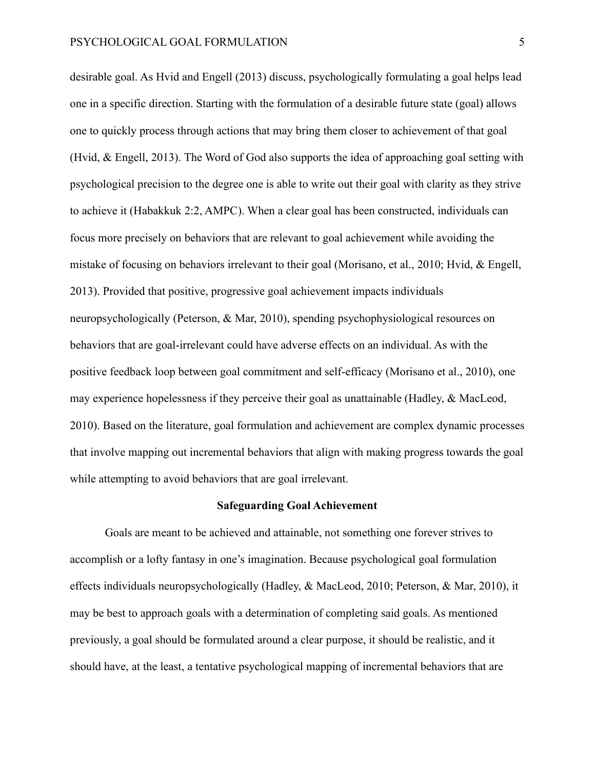desirable goal. As Hvid and Engell (2013) discuss, psychologically formulating a goal helps lead one in a specific direction. Starting with the formulation of a desirable future state (goal) allows one to quickly process through actions that may bring them closer to achievement of that goal (Hvid, & Engell, 2013). The Word of God also supports the idea of approaching goal setting with psychological precision to the degree one is able to write out their goal with clarity as they strive to achieve it (Habakkuk 2:2, AMPC). When a clear goal has been constructed, individuals can focus more precisely on behaviors that are relevant to goal achievement while avoiding the mistake of focusing on behaviors irrelevant to their goal (Morisano, et al., 2010; Hvid, & Engell, 2013). Provided that positive, progressive goal achievement impacts individuals neuropsychologically (Peterson, & Mar, 2010), spending psychophysiological resources on behaviors that are goal-irrelevant could have adverse effects on an individual. As with the positive feedback loop between goal commitment and self-efficacy (Morisano et al., 2010), one may experience hopelessness if they perceive their goal as unattainable (Hadley, & MacLeod, 2010). Based on the literature, goal formulation and achievement are complex dynamic processes that involve mapping out incremental behaviors that align with making progress towards the goal while attempting to avoid behaviors that are goal irrelevant.

## **Safeguarding Goal Achievement**

Goals are meant to be achieved and attainable, not something one forever strives to accomplish or a lofty fantasy in one's imagination. Because psychological goal formulation effects individuals neuropsychologically (Hadley, & MacLeod, 2010; Peterson, & Mar, 2010), it may be best to approach goals with a determination of completing said goals. As mentioned previously, a goal should be formulated around a clear purpose, it should be realistic, and it should have, at the least, a tentative psychological mapping of incremental behaviors that are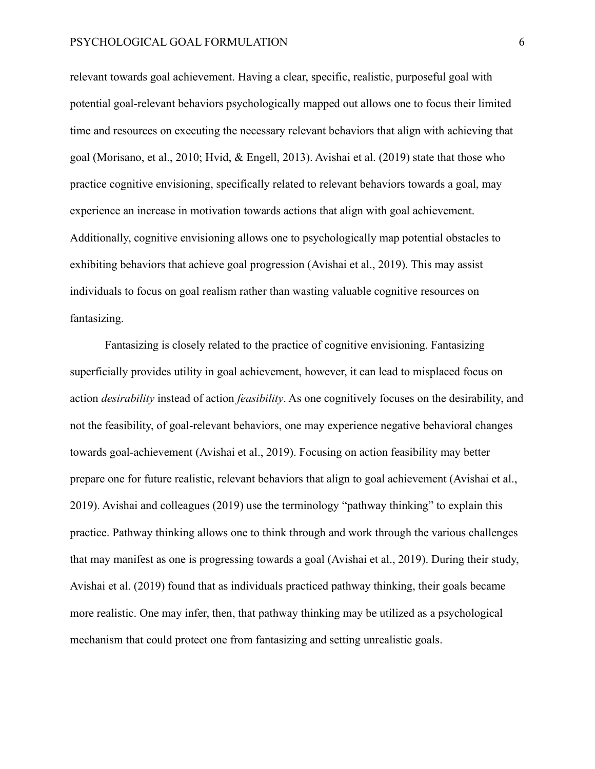relevant towards goal achievement. Having a clear, specific, realistic, purposeful goal with potential goal-relevant behaviors psychologically mapped out allows one to focus their limited time and resources on executing the necessary relevant behaviors that align with achieving that goal (Morisano, et al., 2010; Hvid, & Engell, 2013). Avishai et al. (2019) state that those who practice cognitive envisioning, specifically related to relevant behaviors towards a goal, may experience an increase in motivation towards actions that align with goal achievement. Additionally, cognitive envisioning allows one to psychologically map potential obstacles to exhibiting behaviors that achieve goal progression (Avishai et al., 2019). This may assist individuals to focus on goal realism rather than wasting valuable cognitive resources on fantasizing.

Fantasizing is closely related to the practice of cognitive envisioning. Fantasizing superficially provides utility in goal achievement, however, it can lead to misplaced focus on action *desirability* instead of action *feasibility*. As one cognitively focuses on the desirability, and not the feasibility, of goal-relevant behaviors, one may experience negative behavioral changes towards goal-achievement (Avishai et al., 2019). Focusing on action feasibility may better prepare one for future realistic, relevant behaviors that align to goal achievement (Avishai et al., 2019). Avishai and colleagues (2019) use the terminology "pathway thinking" to explain this practice. Pathway thinking allows one to think through and work through the various challenges that may manifest as one is progressing towards a goal (Avishai et al., 2019). During their study, Avishai et al. (2019) found that as individuals practiced pathway thinking, their goals became more realistic. One may infer, then, that pathway thinking may be utilized as a psychological mechanism that could protect one from fantasizing and setting unrealistic goals.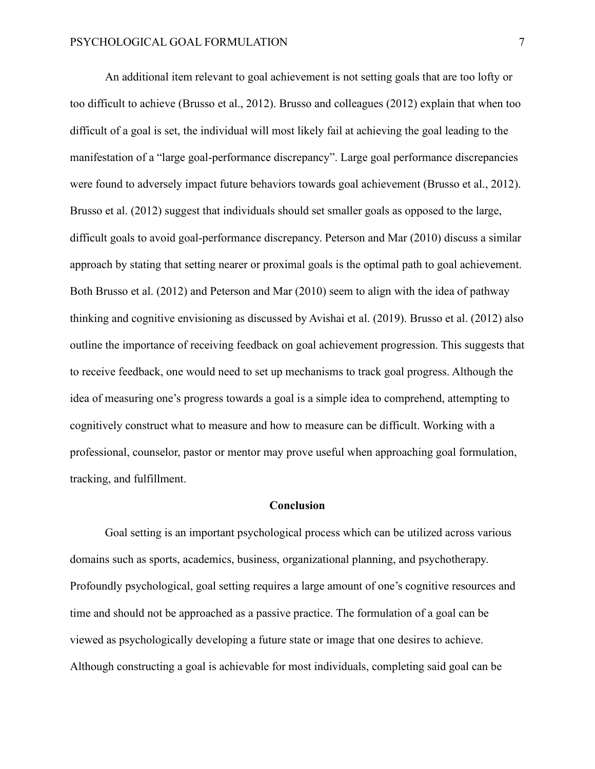An additional item relevant to goal achievement is not setting goals that are too lofty or too difficult to achieve (Brusso et al., 2012). Brusso and colleagues (2012) explain that when too difficult of a goal is set, the individual will most likely fail at achieving the goal leading to the manifestation of a "large goal-performance discrepancy". Large goal performance discrepancies were found to adversely impact future behaviors towards goal achievement (Brusso et al., 2012). Brusso et al. (2012) suggest that individuals should set smaller goals as opposed to the large, difficult goals to avoid goal-performance discrepancy. Peterson and Mar (2010) discuss a similar approach by stating that setting nearer or proximal goals is the optimal path to goal achievement. Both Brusso et al. (2012) and Peterson and Mar (2010) seem to align with the idea of pathway thinking and cognitive envisioning as discussed by Avishai et al. (2019). Brusso et al. (2012) also outline the importance of receiving feedback on goal achievement progression. This suggests that to receive feedback, one would need to set up mechanisms to track goal progress. Although the idea of measuring one's progress towards a goal is a simple idea to comprehend, attempting to cognitively construct what to measure and how to measure can be difficult. Working with a professional, counselor, pastor or mentor may prove useful when approaching goal formulation, tracking, and fulfillment.

#### **Conclusion**

Goal setting is an important psychological process which can be utilized across various domains such as sports, academics, business, organizational planning, and psychotherapy. Profoundly psychological, goal setting requires a large amount of one's cognitive resources and time and should not be approached as a passive practice. The formulation of a goal can be viewed as psychologically developing a future state or image that one desires to achieve. Although constructing a goal is achievable for most individuals, completing said goal can be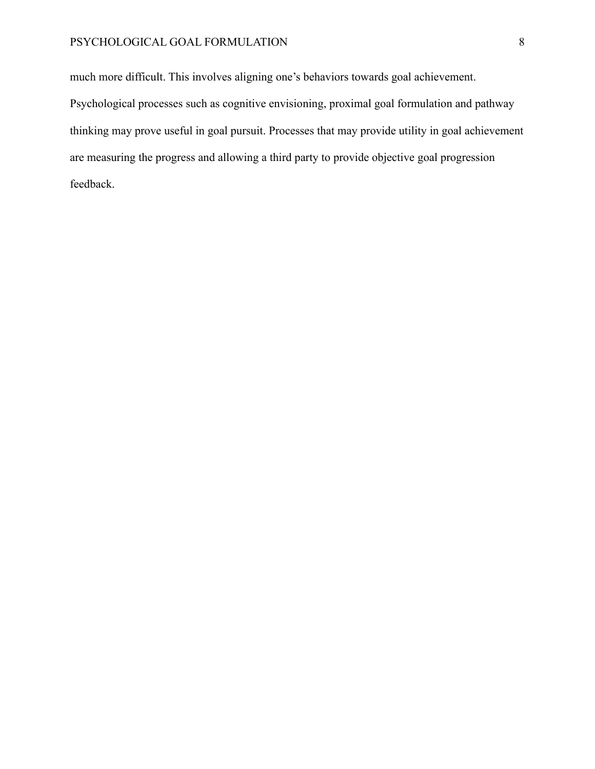# PSYCHOLOGICAL GOAL FORMULATION 8

much more difficult. This involves aligning one's behaviors towards goal achievement. Psychological processes such as cognitive envisioning, proximal goal formulation and pathway thinking may prove useful in goal pursuit. Processes that may provide utility in goal achievement are measuring the progress and allowing a third party to provide objective goal progression feedback.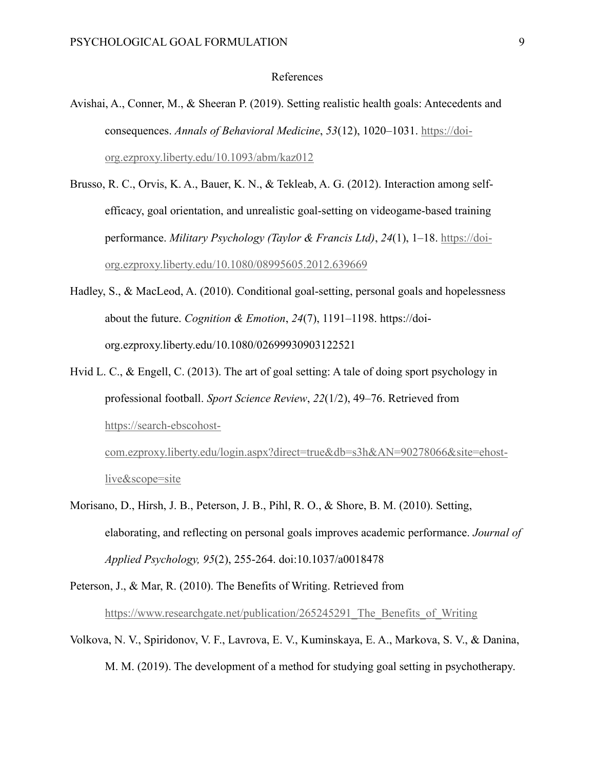### References

- Avishai, A., Conner, M., & Sheeran P. (2019). Setting realistic health goals: Antecedents and consequences. *Annals of Behavioral Medicine*, *53*(12), 1020–1031. [https://doi](https://doi-org.ezproxy.liberty.edu/10.1093/abm/kaz012)[org.ezproxy.liberty.edu/10.1093/abm/kaz012](https://doi-org.ezproxy.liberty.edu/10.1093/abm/kaz012)
- Brusso, R. C., Orvis, K. A., Bauer, K. N., & Tekleab, A. G. (2012). Interaction among selfefficacy, goal orientation, and unrealistic goal-setting on videogame-based training performance. *Military Psychology (Taylor & Francis Ltd)*, *24*(1), 1–18. [https://doi](https://doi-org.ezproxy.liberty.edu/10.1080/08995605.2012.639669)[org.ezproxy.liberty.edu/10.1080/08995605.2012.639669](https://doi-org.ezproxy.liberty.edu/10.1080/08995605.2012.639669)
- Hadley, S., & MacLeod, A. (2010). Conditional goal-setting, personal goals and hopelessness about the future. *Cognition & Emotion*, *24*(7), 1191–1198. https://doiorg.ezproxy.liberty.edu/10.1080/02699930903122521
- Hvid L. C., & Engell, C. (2013). The art of goal setting: A tale of doing sport psychology in professional football. *Sport Science Review*, *22*(1/2), 49–76. Retrieved from [https://search-ebscohost](https://search-ebscohost-com.ezproxy.liberty.edu/login.aspx?direct=true&db=s3h&AN=90278066&site=ehost-live&scope=site)[com.ezproxy.liberty.edu/login.aspx?direct=true&db=s3h&AN=90278066&site=ehost-](https://search-ebscohost-com.ezproxy.liberty.edu/login.aspx?direct=true&db=s3h&AN=90278066&site=ehost-live&scope=site)

[live&scope=site](https://search-ebscohost-com.ezproxy.liberty.edu/login.aspx?direct=true&db=s3h&AN=90278066&site=ehost-live&scope=site)

- Morisano, D., Hirsh, J. B., Peterson, J. B., Pihl, R. O., & Shore, B. M. (2010). Setting, elaborating, and reflecting on personal goals improves academic performance. *Journal of Applied Psychology, 95*(2), 255-264. doi:10.1037/a0018478
- Peterson, J., & Mar, R. (2010). The Benefits of Writing. Retrieved from https://www.researchgate.net/publication/265245291 The Benefits of Writing
- Volkova, N. V., Spiridonov, V. F., Lavrova, E. V., Kuminskaya, E. A., Markova, S. V., & Danina, M. M. (2019). The development of a method for studying goal setting in psychotherapy.